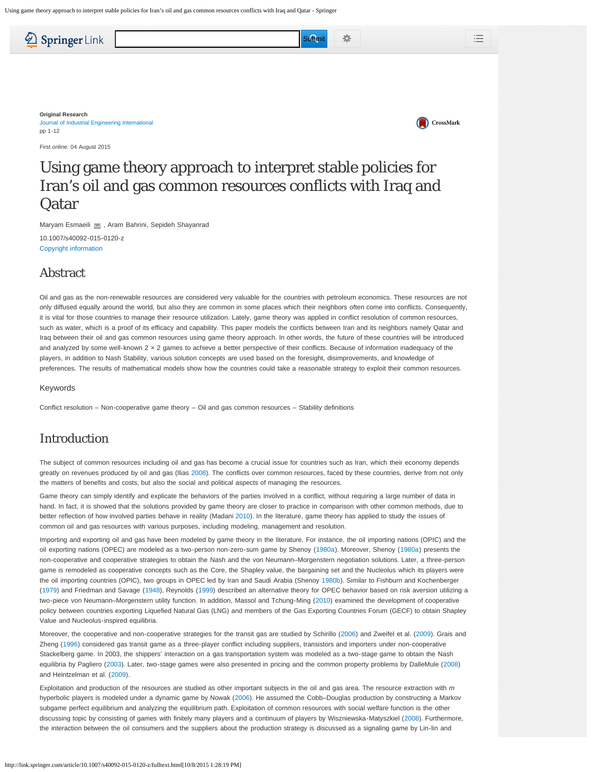<span id="page-0-0"></span>

# Using game theory approach to interpret stable policies for Iran's oil and gas common resources conflicts with Iraq and Qatar

10.1007/s40092-015-0120-z [Copyright information](#page-11-0) Maryam Esmaeili , Aram Bahrini, Sepideh Shayanrad

# Abstract

Oil and gas as the non-renewable resources are considered very valuable for the countries with petroleum economics. These resources are not only diffused equally around the world, but also they are common in some places which their neighbors often come into conflicts. Consequently, it is vital for those countries to manage their resource utilization. Lately, game theory was applied in conflict resolution of common resources, such as water, which is a proof of its efficacy and capability. This paper models the conflicts between Iran and its neighbors namely Qatar and Iraq between their oil and gas common resources using game theory approach. In other words, the future of these countries will be introduced and analyzed by some well-known  $2 \times 2$  games to achieve a better perspective of their conflicts. Because of information inadequacy of the players, in addition to Nash Stability, various solution concepts are used based on the foresight, disimprovements, and knowledge of preferences. The results of mathematical models show how the countries could take a reasonable strategy to exploit their common resources.

### Keywords

Conflict resolution – Non-cooperative game theory – Oil and gas common resources – Stability definitions

# **Introduction**

The subject of common resources including oil and gas has become a crucial issue for countries such as Iran, which their economy depends greatly on revenues produced by oil and gas (Ilias [2008](#page-10-0)). The conflicts over common resources, faced by these countries, derive from not only the matters of benefits and costs, but also the social and political aspects of managing the resources.

Game theory can simply identify and explicate the behaviors of the parties involved in a conflict, without requiring a large number of data in hand. In fact, it is showed that the solutions provided by game theory are closer to practice in comparison with other common methods, due to better reflection of how involved parties behave in reality (Madani [2010\)](#page-10-1). In the literature, game theory has applied to study the issues of common oil and gas resources with various purposes, including modeling, management and resolution.

Importing and exporting oil and gas have been modeled by game theory in the literature. For instance, the oil importing nations (OPIC) and the oil exporting nations (OPEC) are modeled as a two-person non-zero-sum game by Shenoy [\(1980a](#page-11-1)). Moreover, Shenoy ([1980a\)](#page-11-1) presents the non-cooperative and cooperative strategies to obtain the Nash and the von Neumann–Morgenstern negotiation solutions. Later, a three-person game is remodeled as cooperative concepts such as the Core, the Shapley value, the bargaining set and the Nucleolus which its players were the oil importing countries (OPIC), two groups in OPEC led by Iran and Saudi Arabia (Shenoy [1980b](#page-11-2)). Similar to Fishburn and Kochenberger ([1979](#page-10-2)) and Friedman and Savage ([1948](#page-10-3)), Reynolds ([1999\)](#page-11-3) described an alternative theory for OPEC behavior based on risk aversion utilizing a two-piece von Neumann–Morgenstern utility function. In addition, Massol and Tchung-Ming ([2010\)](#page-10-4) examined the development of cooperative policy between countries exporting Liquefied Natural Gas (LNG) and members of the Gas Exporting Countries Forum (GECF) to obtain Shapley Value and Nucleolus-inspired equilibria.

Moreover, the cooperative and non-cooperative strategies for the transit gas are studied by Schirillo ([2006\)](#page-11-4) and Zweifel et al. ([2009\)](#page-11-5). Grais and Zheng ([1996\)](#page-10-5) considered gas transit game as a three-player conflict including suppliers, transistors and importers under non-cooperative Stackelberg game. In 2003, the shippers' interaction on a gas transportation system was modeled as a two-stage game to obtain the Nash equilibria by Pagliero [\(2003](#page-11-6)). Later, two-stage games were also presented in pricing and the common property problems by DalleMule ([2008](#page-9-0)) and Heintzelman et al. ([2009](#page-10-6)).

Exploitation and production of the resources are studied as other important subjects in the oil and gas area. The resource extraction with *m* hyperbolic players is modeled under a dynamic game by Nowak ([2006](#page-11-7)). He assumed the Cobb–Douglas production by constructing a Markov subgame perfect equilibrium and analyzing the equilibrium path. Exploitation of common resources with social welfare function is the other discussing topic by consisting of games with finitely many players and a continuum of players by Wiszniewska-Matyszkiel ([2008](#page-11-8)). Furthermore, the interaction between the oil consumers and the suppliers about the production strategy is discussed as a signaling game by Lin-lin and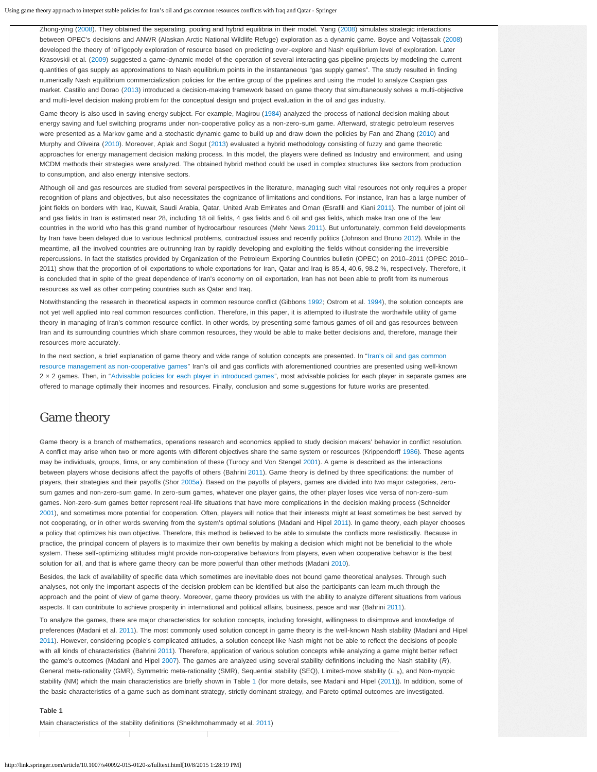Zhong-ying ([2008\)](#page-10-7). They obtained the separating, pooling and hybrid equilibria in their model. Yang [\(2008](#page-11-9)) simulates strategic interactions between OPEC's decisions and ANWR (Alaskan Arctic National Wildlife Refuge) exploration as a dynamic game. Boyce and Vojtassak ([2008](#page-9-1)) developed the theory of 'oil'igopoly exploration of resource based on predicting over-explore and Nash equilibrium level of exploration. Later Krasovskii et al. ([2009\)](#page-10-8) suggested a game-dynamic model of the operation of several interacting gas pipeline projects by modeling the current quantities of gas supply as approximations to Nash equilibrium points in the instantaneous "gas supply games". The study resulted in finding numerically Nash equilibrium commercialization policies for the entire group of the pipelines and using the model to analyze Caspian gas market. Castillo and Dorao ([2013](#page-9-2)) introduced a decision-making framework based on game theory that simultaneously solves a multi-objective and multi-level decision making problem for the conceptual design and project evaluation in the oil and gas industry.

Game theory is also used in saving energy subject. For example, Magirou ([1984](#page-10-9)) analyzed the process of national decision making about energy saving and fuel switching programs under non-cooperative policy as a non-zero-sum game. Afterward, strategic petroleum reserves were presented as a Markov game and a stochastic dynamic game to build up and draw down the policies by Fan and Zhang ([2010](#page-10-10)) and Murphy and Oliveira ([2010](#page-10-11)). Moreover, Aplak and Sogut ([2013\)](#page-9-3) evaluated a hybrid methodology consisting of fuzzy and game theoretic approaches for energy management decision making process. In this model, the players were defined as Industry and environment, and using MCDM methods their strategies were analyzed. The obtained hybrid method could be used in complex structures like sectors from production to consumption, and also energy intensive sectors.

Although oil and gas resources are studied from several perspectives in the literature, managing such vital resources not only requires a proper recognition of plans and objectives, but also necessitates the cognizance of limitations and conditions. For instance, Iran has a large number of joint fields on borders with Iraq, Kuwait, Saudi Arabia, Qatar, United Arab Emirates and Oman (Esrafili and Kiani [2011\)](#page-10-12). The number of joint oil and gas fields in Iran is estimated near 28, including 18 oil fields, 4 gas fields and 6 oil and gas fields, which make Iran one of the few countries in the world who has this grand number of hydrocarbour resources (Mehr News [2011](#page-10-13)). But unfortunately, common field developments by Iran have been delayed due to various technical problems, contractual issues and recently politics (Johnson and Bruno [2012](#page-10-14)). While in the meantime, all the involved countries are outrunning Iran by rapidly developing and exploiting the fields without considering the irreversible repercussions. In fact the statistics provided by Organization of the Petroleum Exporting Countries bulletin (OPEC) on 2010–2011 (OPEC 2010– 2011) show that the proportion of oil exportations to whole exportations for Iran, Qatar and Iraq is 85.4, 40.6, 98.2 %, respectively. Therefore, it is concluded that in spite of the great dependence of Iran's economy on oil exportation, Iran has not been able to profit from its numerous resources as well as other competing countries such as Qatar and Iraq.

Notwithstanding the research in theoretical aspects in common resource conflict (Gibbons [1992](#page-10-15); Ostrom et al. [1994](#page-11-10)), the solution concepts are not yet well applied into real common resources confliction. Therefore, in this paper, it is attempted to illustrate the worthwhile utility of game theory in managing of Iran's common resource conflict. In other words, by presenting some famous games of oil and gas resources between Iran and its surrounding countries which share common resources, they would be able to make better decisions and, therefore, manage their resources more accurately.

In the next section, a brief explanation of game theory and wide range of solution concepts are presented. In ["Iran's oil and gas common](#page-2-0) [resource management as non-cooperative games"](#page-2-0) Iran's oil and gas conflicts with aforementioned countries are presented using well-known 2 x 2 games. Then, in "[Advisable policies for each player in introduced games"](#page-7-0), most advisable policies for each player in separate games are offered to manage optimally their incomes and resources. Finally, conclusion and some suggestions for future works are presented.

## Game theory

Game theory is a branch of mathematics, operations research and economics applied to study decision makers' behavior in conflict resolution. A conflict may arise when two or more agents with different objectives share the same system or resources (Krippendorff [1986](#page-10-16)). These agents may be individuals, groups, firms, or any combination of these (Turocy and Von Stengel [2001](#page-11-11)). A game is described as the interactions between players whose decisions affect the payoffs of others (Bahrini [2011\)](#page-9-4). Game theory is defined by three specifications: the number of players, their strategies and their payoffs (Shor [2005a](#page-11-12)). Based on the payoffs of players, games are divided into two major categories, zerosum games and non-zero-sum game. In zero-sum games, whatever one player gains, the other player loses vice versa of non-zero-sum games. Non-zero-sum games better represent real-life situations that have more complications in the decision making process (Schneider [2001\)](#page-11-13), and sometimes more potential for cooperation. Often, players will notice that their interests might at least sometimes be best served by not cooperating, or in other words swerving from the system's optimal solutions (Madani and Hipel [2011\)](#page-10-17). In game theory, each player chooses a policy that optimizes his own objective. Therefore, this method is believed to be able to simulate the conflicts more realistically. Because in practice, the principal concern of players is to maximize their own benefits by making a decision which might not be beneficial to the whole system. These self-optimizing attitudes might provide non-cooperative behaviors from players, even when cooperative behavior is the best solution for all, and that is where game theory can be more powerful than other methods (Madani [2010](#page-10-1)).

Besides, the lack of availability of specific data which sometimes are inevitable does not bound game theoretical analyses. Through such analyses, not only the important aspects of the decision problem can be identified but also the participants can learn much through the approach and the point of view of game theory. Moreover, game theory provides us with the ability to analyze different situations from various aspects. It can contribute to achieve prosperity in international and political affairs, business, peace and war (Bahrini [2011](#page-9-4)).

To analyze the games, there are major characteristics for solution concepts, including foresight, willingness to disimprove and knowledge of preferences (Madani et al. [2011](#page-10-18)). The most commonly used solution concept in game theory is the well-known Nash stability (Madani and Hipel [2011\)](#page-10-17). However, considering people's complicated attitudes, a solution concept like Nash might not be able to reflect the decisions of people with all kinds of characteristics (Bahrini [2011](#page-9-4)). Therefore, application of various solution concepts while analyzing a game might better reflect the game's outcomes (Madani and Hipel [2007](#page-10-19)). The games are analyzed using several stability definitions including the Nash stability (*R*), General meta-rationality (GMR), Symmetric meta-rationality (SMR), Sequential stability (SEQ), Limited-move stability (*L* h), and Non-myopic stability (NM) which the main characteristics are briefly shown in Table [1](#page-2-1) (for more details, see Madani and Hipel [\(2011](#page-10-17))). In addition, some of the basic characteristics of a game such as dominant strategy, strictly dominant strategy, and Pareto optimal outcomes are investigated.

#### **Table 1**

Main characteristics of the stability definitions (Sheikhmohammady et al. [2011](#page-11-14))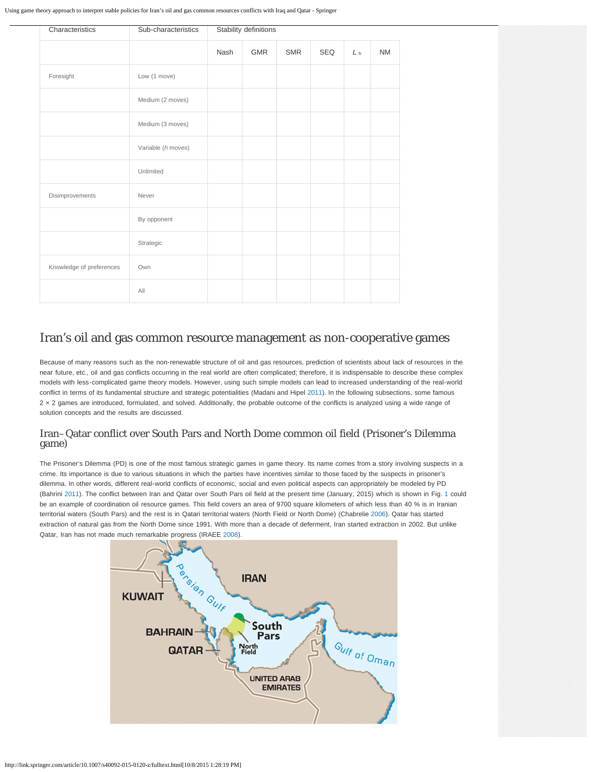<span id="page-2-1"></span>

| Characteristics          | Sub-characteristics | Stability definitions |            |            |     |                |           |
|--------------------------|---------------------|-----------------------|------------|------------|-----|----------------|-----------|
|                          |                     | Nash                  | <b>GMR</b> | <b>SMR</b> | SEQ | L <sub>h</sub> | <b>NM</b> |
| Foresight                | Low (1 move)        |                       |            |            |     |                |           |
|                          | Medium (2 moves)    |                       |            |            |     |                |           |
|                          | Medium (3 moves)    |                       |            |            |     |                |           |
|                          | Variable (h moves)  |                       |            |            |     |                |           |
|                          | Unlimited           |                       |            |            |     |                |           |
| Disimprovements          | Never               |                       |            |            |     |                |           |
|                          | By opponent         |                       |            |            |     |                |           |
|                          | Strategic           |                       |            |            |     |                |           |
| Knowledge of preferences | Own                 |                       |            |            |     |                |           |
|                          | All                 |                       |            |            |     |                |           |

## <span id="page-2-0"></span>Iran's oil and gas common resource management as non-cooperative games

Because of many reasons such as the non-renewable structure of oil and gas resources, prediction of scientists about lack of resources in the near future, etc., oil and gas conflicts occurring in the real world are often complicated; therefore, it is indispensable to describe these complex models with less-complicated game theory models. However, using such simple models can lead to increased understanding of the real-world conflict in terms of its fundamental structure and strategic potentialities (Madani and Hipel [2011\)](#page-10-17). In the following subsections, some famous 2 × 2 games are introduced, formulated, and solved. Additionally, the probable outcome of the conflicts is analyzed using a wide range of solution concepts and the results are discussed.

## Iran–Qatar conflict over South Pars and North Dome common oil field (Prisoner's Dilemma game)

<span id="page-2-2"></span>The Prisoner's Dilemma (PD) is one of the most famous strategic games in game theory. Its name comes from a story involving suspects in a crime. Its importance is due to various situations in which the parties have incentives similar to those faced by the suspects in prisoner's dilemma. In other words, different real-world conflicts of economic, social and even political aspects can appropriately be modeled by PD (Bahrini [2011](#page-9-4)). The conflict between Iran and Qatar over South Pars oil field at the present time (January, 2015) which is shown in Fig. [1](#page-2-2) could be an example of coordination oil resource games. This field covers an area of 9700 square kilometers of which less than 40 % is in Iranian territorial waters (South Pars) and the rest is in Qatari territorial waters (North Field or North Dome) (Chabrelie [2006\)](#page-9-5). Qatar has started extraction of natural gas from the North Dome since 1991. With more than a decade of deferment, Iran started extraction in 2002. But unlike Qatar, Iran has not made much remarkable progress (IRAEE [2008](#page-10-20))

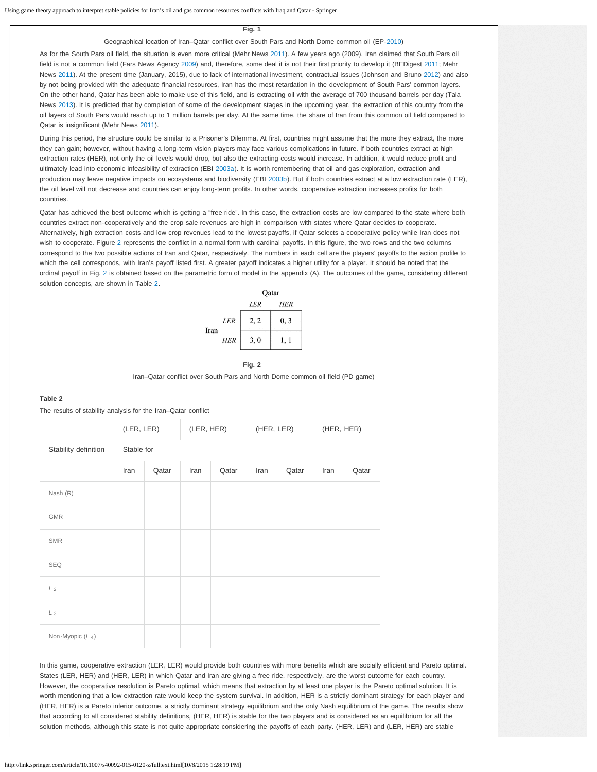#### **Fig. 1**

#### Geographical location of Iran–Qatar conflict over South Pars and North Dome common oil (EP-[2010\)](#page-9-6)

As for the South Pars oil field, the situation is even more critical (Mehr News [2011\)](#page-10-13). A few years ago (2009), Iran claimed that South Pars oil field is not a common field (Fars News Agency [2009](#page-10-21)) and, therefore, some deal it is not their first priority to develop it (BEDigest [2011](#page-9-7); Mehr News [2011](#page-10-13)). At the present time (January, 2015), due to lack of international investment, contractual issues (Johnson and Bruno [2012\)](#page-10-14) and also by not being provided with the adequate financial resources, Iran has the most retardation in the development of South Pars' common layers. On the other hand, Qatar has been able to make use of this field, and is extracting oil with the average of 700 thousand barrels per day (Tala News [2013](#page-11-15)). It is predicted that by completion of some of the development stages in the upcoming year, the extraction of this country from the oil layers of South Pars would reach up to 1 million barrels per day. At the same time, the share of Iran from this common oil field compared to Qatar is insignificant (Mehr News [2011\)](#page-10-13).

During this period, the structure could be similar to a Prisoner's Dilemma. At first, countries might assume that the more they extract, the more they can gain; however, without having a long-term vision players may face various complications in future. If both countries extract at high extraction rates (HER), not only the oil levels would drop, but also the extracting costs would increase. In addition, it would reduce profit and ultimately lead into economic infeasibility of extraction (EBI [2003a](#page-9-8)). It is worth remembering that oil and gas exploration, extraction and production may leave negative impacts on ecosystems and biodiversity (EBI [2003b](#page-9-9)). But if both countries extract at a low extraction rate (LER), the oil level will not decrease and countries can enjoy long-term profits. In other words, cooperative extraction increases profits for both countries.

<span id="page-3-0"></span>Qatar has achieved the best outcome which is getting a "free ride". In this case, the extraction costs are low compared to the state where both countries extract non-cooperatively and the crop sale revenues are high in comparison with states where Qatar decides to cooperate. Alternatively, high extraction costs and low crop revenues lead to the lowest payoffs, if Qatar selects a cooperative policy while Iran does not wish to cooperate. Figure [2](#page-3-0) represents the conflict in a normal form with cardinal payoffs. In this figure, the two rows and the two columns correspond to the two possible actions of Iran and Qatar, respectively. The numbers in each cell are the players' payoffs to the action profile to which the cell corresponds, with Iran's payoff listed first. A greater payoff indicates a higher utility for a player. It should be noted that the ordinal payoff in Fig. [2](#page-3-0) is obtained based on the parametric form of model in the appendix (A). The outcomes of the game, considering different solution concepts, are shown in Table [2](#page-3-1).



#### **Fig. 2**

Iran–Qatar conflict over South Pars and North Dome common oil field (PD game)

#### <span id="page-3-1"></span>**Table 2**

The results of stability analysis for the Iran–Qatar conflict

|                      | (LER, LER) |       | (LER, HER) |       | (HER, LER) |       | (HER, HER) |       |  |
|----------------------|------------|-------|------------|-------|------------|-------|------------|-------|--|
| Stability definition | Stable for |       |            |       |            |       |            |       |  |
|                      | Iran       | Qatar | Iran       | Qatar | Iran       | Qatar | Iran       | Qatar |  |
| Nash (R)             |            |       |            |       |            |       |            |       |  |
| <b>GMR</b>           |            |       |            |       |            |       |            |       |  |
| SMR                  |            |       |            |       |            |       |            |       |  |
| SEQ                  |            |       |            |       |            |       |            |       |  |
| L <sub>2</sub>       |            |       |            |       |            |       |            |       |  |
| Lз                   |            |       |            |       |            |       |            |       |  |
| Non-Myopic $(L_4)$   |            |       |            |       |            |       |            |       |  |

In this game, cooperative extraction (LER, LER) would provide both countries with more benefits which are socially efficient and Pareto optimal. States (LER, HER) and (HER, LER) in which Qatar and Iran are giving a free ride, respectively, are the worst outcome for each country. However, the cooperative resolution is Pareto optimal, which means that extraction by at least one player is the Pareto optimal solution. It is worth mentioning that a low extraction rate would keep the system survival. In addition, HER is a strictly dominant strategy for each player and (HER, HER) is a Pareto inferior outcome, a strictly dominant strategy equilibrium and the only Nash equilibrium of the game. The results show that according to all considered stability definitions, (HER, HER) is stable for the two players and is considered as an equilibrium for all the solution methods, although this state is not quite appropriate considering the payoffs of each party. (HER, LER) and (LER, HER) are stable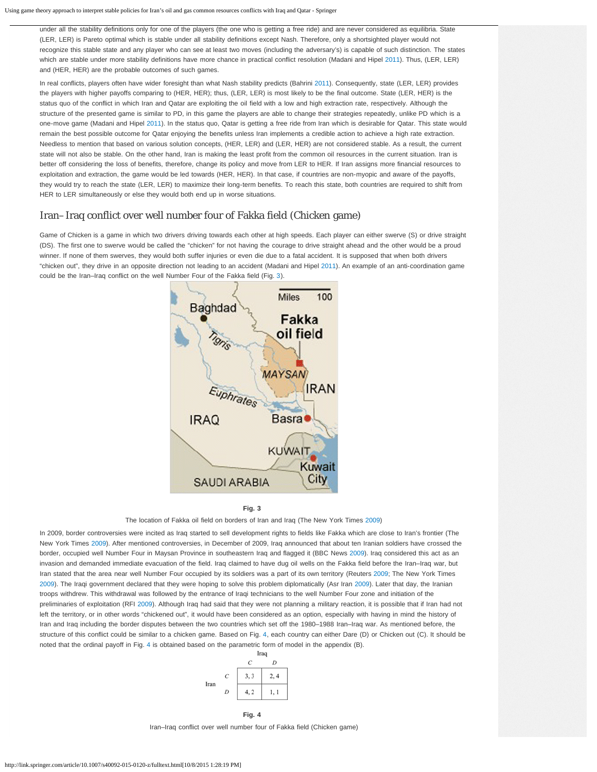under all the stability definitions only for one of the players (the one who is getting a free ride) and are never considered as equilibria. State (LER, LER) is Pareto optimal which is stable under all stability definitions except Nash. Therefore, only a shortsighted player would not recognize this stable state and any player who can see at least two moves (including the adversary's) is capable of such distinction. The states which are stable under more stability definitions have more chance in practical conflict resolution (Madani and Hipel [2011](#page-10-17)). Thus, (LER, LER) and (HER, HER) are the probable outcomes of such games.

In real conflicts, players often have wider foresight than what Nash stability predicts (Bahrini [2011\)](#page-9-4). Consequently, state (LER, LER) provides the players with higher payoffs comparing to (HER, HER); thus, (LER, LER) is most likely to be the final outcome. State (LER, HER) is the status quo of the conflict in which Iran and Qatar are exploiting the oil field with a low and high extraction rate, respectively. Although the structure of the presented game is similar to PD, in this game the players are able to change their strategies repeatedly, unlike PD which is a one-move game (Madani and Hipel [2011\)](#page-10-17). In the status quo, Qatar is getting a free ride from Iran which is desirable for Qatar. This state would remain the best possible outcome for Qatar enjoying the benefits unless Iran implements a credible action to achieve a high rate extraction. Needless to mention that based on various solution concepts, (HER, LER) and (LER, HER) are not considered stable. As a result, the current state will not also be stable. On the other hand, Iran is making the least profit from the common oil resources in the current situation. Iran is better off considering the loss of benefits, therefore, change its policy and move from LER to HER. If Iran assigns more financial resources to exploitation and extraction, the game would be led towards (HER, HER). In that case, if countries are non-myopic and aware of the payoffs, they would try to reach the state (LER, LER) to maximize their long-term benefits. To reach this state, both countries are required to shift from HER to LER simultaneously or else they would both end up in worse situations.

## Iran–Iraq conflict over well number four of Fakka field (Chicken game)

<span id="page-4-0"></span>Game of Chicken is a game in which two drivers driving towards each other at high speeds. Each player can either swerve (S) or drive straight (DS). The first one to swerve would be called the "chicken" for not having the courage to drive straight ahead and the other would be a proud winner. If none of them swerves, they would both suffer injuries or even die due to a fatal accident. It is supposed that when both drivers "chicken out", they drive in an opposite direction not leading to an accident (Madani and Hipel [2011\)](#page-10-17). An example of an anti-coordination game could be the Iran–Iraq conflict on the well Number Four of the Fakka field (Fig. [3\)](#page-4-0).



#### **Fig. 3**

The location of Fakka oil field on borders of Iran and Iraq (The New York Times [2009\)](#page-11-16)

<span id="page-4-1"></span>In 2009, border controversies were incited as Iraq started to sell development rights to fields like Fakka which are close to Iran's frontier (The New York Times [2009\)](#page-11-16). After mentioned controversies, in December of 2009, Iraq announced that about ten Iranian soldiers have crossed the border, occupied well Number Four in Maysan Province in southeastern Iraq and flagged it (BBC News [2009\)](#page-9-10). Iraq considered this act as an invasion and demanded immediate evacuation of the field. Iraq claimed to have dug oil wells on the Fakka field before the Iran–Iraq war, but Iran stated that the area near well Number Four occupied by its soldiers was a part of its own territory (Reuters [2009](#page-11-17); The New York Times [2009\)](#page-11-16). The Iraqi government declared that they were hoping to solve this problem diplomatically (Asr Iran [2009\)](#page-9-11). Later that day, the Iranian troops withdrew. This withdrawal was followed by the entrance of Iraqi technicians to the well Number Four zone and initiation of the preliminaries of exploitation (RFI [2009](#page-11-18)). Although Iraq had said that they were not planning a military reaction, it is possible that if Iran had not left the territory, or in other words "chickened out", it would have been considered as an option, especially with having in mind the history of Iran and Iraq including the border disputes between the two countries which set off the 1980–1988 Iran–Iraq war. As mentioned before, the structure of this conflict could be similar to a chicken game. Based on Fig. [4,](#page-4-1) each country can either Dare (D) or Chicken out (C). It should be noted that the ordinal payoff in Fig. [4](#page-4-1) is obtained based on the parametric form of model in the appendix (B).



**Fig. 4**

Iran–Iraq conflict over well number four of Fakka field (Chicken game)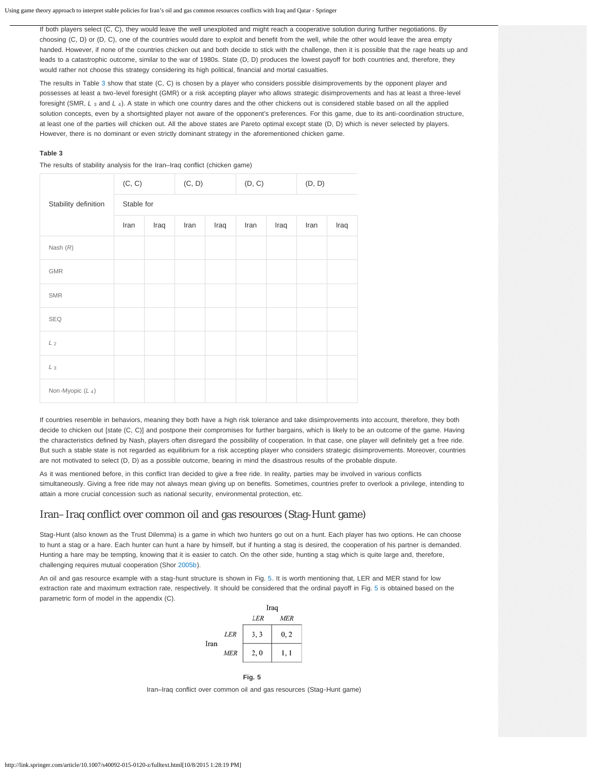If both players select (C, C), they would leave the well unexploited and might reach a cooperative solution during further negotiations. By choosing (C, D) or (D, C), one of the countries would dare to exploit and benefit from the well, while the other would leave the area empty handed. However, if none of the countries chicken out and both decide to stick with the challenge, then it is possible that the rage heats up and leads to a catastrophic outcome, similar to the war of 1980s. State (D, D) produces the lowest payoff for both countries and, therefore, they would rather not choose this strategy considering its high political, financial and mortal casualties.

The results in Table [3](#page-5-0) show that state (C, C) is chosen by a player who considers possible disimprovements by the opponent player and possesses at least a two-level foresight (GMR) or a risk accepting player who allows strategic disimprovements and has at least a three-level foresight (SMR, *L*<sub>3</sub> and *L*<sub>4</sub>). A state in which one country dares and the other chickens out is considered stable based on all the applied solution concepts, even by a shortsighted player not aware of the opponent's preferences. For this game, due to its anti-coordination structure, at least one of the parties will chicken out. All the above states are Pareto optimal except state (D, D) which is never selected by players. However, there is no dominant or even strictly dominant strategy in the aforementioned chicken game.

#### <span id="page-5-0"></span>**Table 3**

The results of stability analysis for the Iran–Iraq conflict (chicken game)

|                              | (C, C)     |      | (C, D) |      | (D, C) |      | (D, D) |      |
|------------------------------|------------|------|--------|------|--------|------|--------|------|
| Stability definition         | Stable for |      |        |      |        |      |        |      |
|                              | Iran       | Iraq | Iran   | Iraq | Iran   | Iraq | Iran   | Iraq |
| Nash $(R)$                   |            |      |        |      |        |      |        |      |
| <b>GMR</b>                   |            |      |        |      |        |      |        |      |
| SMR                          |            |      |        |      |        |      |        |      |
| SEQ                          |            |      |        |      |        |      |        |      |
| L <sub>2</sub>               |            |      |        |      |        |      |        |      |
| Lз                           |            |      |        |      |        |      |        |      |
| Non-Myopic (L <sub>4</sub> ) |            |      |        |      |        |      |        |      |

If countries resemble in behaviors, meaning they both have a high risk tolerance and take disimprovements into account, therefore, they both decide to chicken out [state (C, C)] and postpone their compromises for further bargains, which is likely to be an outcome of the game. Having the characteristics defined by Nash, players often disregard the possibility of cooperation. In that case, one player will definitely get a free ride. But such a stable state is not regarded as equilibrium for a risk accepting player who considers strategic disimprovements. Moreover, countries are not motivated to select (D, D) as a possible outcome, bearing in mind the disastrous results of the probable dispute.

As it was mentioned before, in this conflict Iran decided to give a free ride. In reality, parties may be involved in various conflicts simultaneously. Giving a free ride may not always mean giving up on benefits. Sometimes, countries prefer to overlook a privilege, intending to attain a more crucial concession such as national security, environmental protection, etc.

## Iran–Iraq conflict over common oil and gas resources (Stag-Hunt game)

Stag-Hunt (also known as the Trust Dilemma) is a game in which two hunters go out on a hunt. Each player has two options. He can choose to hunt a stag or a hare. Each hunter can hunt a hare by himself, but if hunting a stag is desired, the cooperation of his partner is demanded. Hunting a hare may be tempting, knowing that it is easier to catch. On the other side, hunting a stag which is quite large and, therefore, challenging requires mutual cooperation (Shor [2005b](#page-11-19)).

<span id="page-5-1"></span>An oil and gas resource example with a stag-hunt structure is shown in Fig. [5](#page-5-1). It is worth mentioning that, LER and MER stand for low extraction rate and maximum extraction rate, respectively. It should be considered that the ordinal payoff in Fig. [5](#page-5-1) is obtained based on the parametric form of model in the appendix (C).

|      |            | Iraq       |            |  |  |  |
|------|------------|------------|------------|--|--|--|
|      |            | <b>LER</b> | <b>MER</b> |  |  |  |
|      | <b>LER</b> | 3, 3       | 0, 2       |  |  |  |
| Iran | <b>MER</b> | 2, 0       | 1. 1       |  |  |  |
|      |            |            |            |  |  |  |



Iran–Iraq conflict over common oil and gas resources (Stag-Hunt game)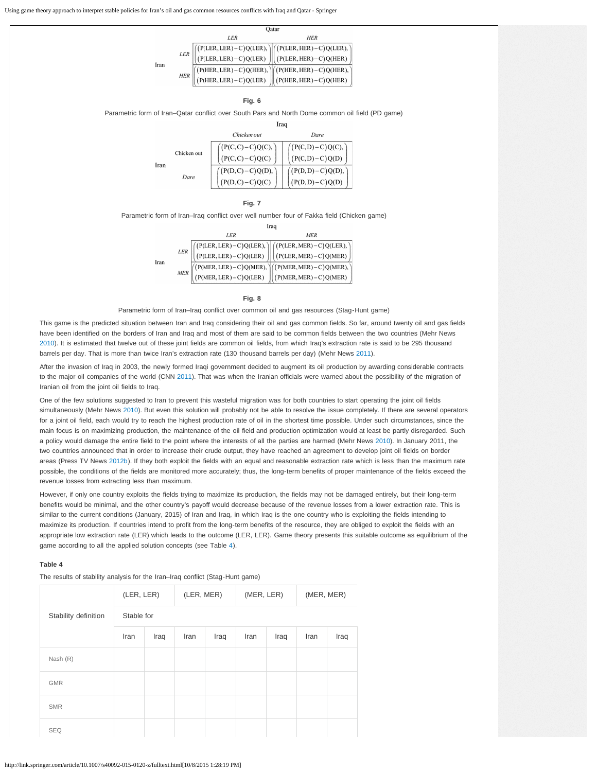Ir

Ira

|      |                                                                                                                                                                                                                                                                          | Oatar                                                                                                                                                                                                                     |
|------|--------------------------------------------------------------------------------------------------------------------------------------------------------------------------------------------------------------------------------------------------------------------------|---------------------------------------------------------------------------------------------------------------------------------------------------------------------------------------------------------------------------|
|      | LER                                                                                                                                                                                                                                                                      | <b>HER</b>                                                                                                                                                                                                                |
|      |                                                                                                                                                                                                                                                                          | $\textit{LER}\left[\left(\textit{P(LER,LER)}-C\right)Q(LER),\right]\left[\left(\textit{P(LER,HER)}-C\right)Q(LER)\right]\\ \left(\textit{P(LER,LER)}-C\right)Q(LER)\left[\left(\textit{P(LER,HER)}-C\right)Q(HER)\right]$ |
| Iran | $\textit{HER}\left[\begin{matrix} \texttt{[PIER,LER)}-C\texttt{[Q(HER)}, \texttt{[PIER,HER)}-C\texttt{[Q(HER)}, \end{matrix}\right]\begin{matrix} \texttt{[PIER,HER)}-C\texttt{[Q(HER)}, \end{matrix}\right] \quad \texttt{[PIER,HER)}-C\texttt{[Q(HER)} \label{eq:HER}$ |                                                                                                                                                                                                                           |

|--|

Parametric form of Iran–Qatar conflict over South Pars and North Dome common oil field (PD game)

Iraq

|    |             | Chicken out                                    | Dare                |
|----|-------------|------------------------------------------------|---------------------|
|    | Chicken out | $\binom{(P(C, C) - C)Q(C)}{(P(C, C) - C)Q(C)}$ | $((P(C,D)-C)Q(C)),$ |
| an |             |                                                | $(P(C,D)-C)Q(D)$    |
|    | Dare        | $(P(D,C)-C)Q(D),$                              | $((P(D,D)-C)Q(D)),$ |
|    |             | $(P(D, C) - C)Q(C)$                            | $(P(D,D)-C)Q(D)$    |

|--|--|

Parametric form of Iran–Iraq conflict over well number four of Fakka field (Chicken game)

|   |            | ıraq                                                                                                                                                                                                                                                                                                    |  |
|---|------------|---------------------------------------------------------------------------------------------------------------------------------------------------------------------------------------------------------------------------------------------------------------------------------------------------------|--|
|   | <b>LER</b> | <b>MER</b>                                                                                                                                                                                                                                                                                              |  |
|   |            | $\textit{LER}\left[\begin{pmatrix}\texttt{P(LER,LER)}-C\texttt{Q(LER)},\ \texttt{P(LER,LER)}-C\texttt{Q(LER)}\end{pmatrix}\right \begin{pmatrix}\texttt{P(LER,MER)}-C\texttt{Q(LER)},\ \texttt{P(LER,LER)}-C\texttt{Q(MER)}\end{pmatrix}$                                                               |  |
| n |            | $\textit{MER}\left[\begin{matrix} \texttt{[P(MER,LER)-C)Q(MER),} \end{matrix}\middle \begin{matrix} \texttt{[P(MER,MER)-C)Q(MER),} \end{matrix}\right.\\ \texttt{[P(MER,LER)-C)Q(LER)}\middle \begin{matrix} \texttt{[P(MER,MER)-C)Q(MER),} \end{matrix}\right.\\ \texttt{[P(MER,MER)-C)Q(MER)}\right]$ |  |

#### **Fig. 8**

Parametric form of Iran–Iraq conflict over common oil and gas resources (Stag-Hunt game)

This game is the predicted situation between Iran and Iraq considering their oil and gas common fields. So far, around twenty oil and gas fields have been identified on the borders of Iran and Iraq and most of them are said to be common fields between the two countries (Mehr News [2010\)](#page-10-22). It is estimated that twelve out of these joint fields are common oil fields, from which Iraq's extraction rate is said to be 295 thousand barrels per day. That is more than twice Iran's extraction rate (130 thousand barrels per day) (Mehr News [2011](#page-10-13)).

After the invasion of Iraq in 2003, the newly formed Iraqi government decided to augment its oil production by awarding considerable contracts to the major oil companies of the world (CNN [2011\)](#page-9-12). That was when the Iranian officials were warned about the possibility of the migration of Iranian oil from the joint oil fields to Iraq.

One of the few solutions suggested to Iran to prevent this wasteful migration was for both countries to start operating the joint oil fields simultaneously (Mehr News [2010\)](#page-10-22). But even this solution will probably not be able to resolve the issue completely. If there are several operators for a joint oil field, each would try to reach the highest production rate of oil in the shortest time possible. Under such circumstances, since the main focus is on maximizing production, the maintenance of the oil field and production optimization would at least be partly disregarded. Such a policy would damage the entire field to the point where the interests of all the parties are harmed (Mehr News [2010](#page-10-22)). In January 2011, the two countries announced that in order to increase their crude output, they have reached an agreement to develop joint oil fields on border areas (Press TV News [2012b](#page-11-20)). If they both exploit the fields with an equal and reasonable extraction rate which is less than the maximum rate possible, the conditions of the fields are monitored more accurately; thus, the long-term benefits of proper maintenance of the fields exceed the revenue losses from extracting less than maximum.

However, if only one country exploits the fields trying to maximize its production, the fields may not be damaged entirely, but their long-term benefits would be minimal, and the other country's payoff would decrease because of the revenue losses from a lower extraction rate. This is similar to the current conditions (January, 2015) of Iran and Iraq, in which Iraq is the one country who is exploiting the fields intending to maximize its production. If countries intend to profit from the long-term benefits of the resource, they are obliged to exploit the fields with an appropriate low extraction rate (LER) which leads to the outcome (LER, LER). Game theory presents this suitable outcome as equilibrium of the game according to all the applied solution concepts (see Table [4](#page-7-1)).

#### **Table 4**

The results of stability analysis for the Iran–Iraq conflict (Stag-Hunt game)

|                      | (LER, LER) |            | (LER, MER) |      | (MER, LER) |      | (MER, MER) |      |  |
|----------------------|------------|------------|------------|------|------------|------|------------|------|--|
| Stability definition |            | Stable for |            |      |            |      |            |      |  |
|                      | Iran       | Iraq       | Iran       | Iraq | Iran       | Iraq | Iran       | Iraq |  |
| Nash (R)             |            |            |            |      |            |      |            |      |  |
| <b>GMR</b>           |            |            |            |      |            |      |            |      |  |
| <b>SMR</b>           |            |            |            |      |            |      |            |      |  |
| <b>SEQ</b>           |            |            |            |      |            |      |            |      |  |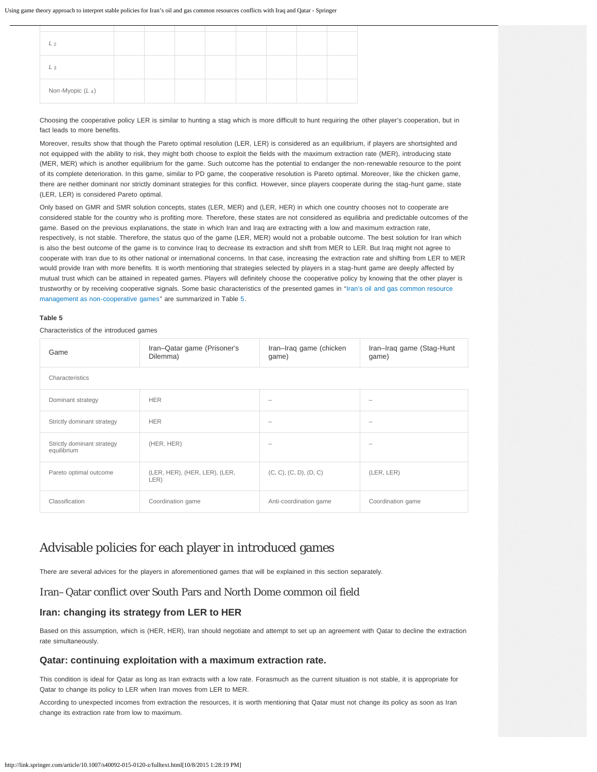<span id="page-7-1"></span>

| L <sub>2</sub>   |  |  |  |  |
|------------------|--|--|--|--|
| $\perp$ 3        |  |  |  |  |
| Non-Myopic (L 4) |  |  |  |  |

Choosing the cooperative policy LER is similar to hunting a stag which is more difficult to hunt requiring the other player's cooperation, but in fact leads to more benefits.

Moreover, results show that though the Pareto optimal resolution (LER, LER) is considered as an equilibrium, if players are shortsighted and not equipped with the ability to risk, they might both choose to exploit the fields with the maximum extraction rate (MER), introducing state (MER, MER) which is another equilibrium for the game. Such outcome has the potential to endanger the non-renewable resource to the point of its complete deterioration. In this game, similar to PD game, the cooperative resolution is Pareto optimal. Moreover, like the chicken game, there are neither dominant nor strictly dominant strategies for this conflict. However, since players cooperate during the stag-hunt game, state (LER, LER) is considered Pareto optimal.

Only based on GMR and SMR solution concepts, states (LER, MER) and (LER, HER) in which one country chooses not to cooperate are considered stable for the country who is profiting more. Therefore, these states are not considered as equilibria and predictable outcomes of the game. Based on the previous explanations, the state in which Iran and Iraq are extracting with a low and maximum extraction rate, respectively, is not stable. Therefore, the status quo of the game (LER, MER) would not a probable outcome. The best solution for Iran which is also the best outcome of the game is to convince Iraq to decrease its extraction and shift from MER to LER. But Iraq might not agree to cooperate with Iran due to its other national or international concerns. In that case, increasing the extraction rate and shifting from LER to MER would provide Iran with more benefits. It is worth mentioning that strategies selected by players in a stag-hunt game are deeply affected by mutual trust which can be attained in repeated games. Players will definitely choose the cooperative policy by knowing that the other player is trustworthy or by receiving cooperative signals. Some basic characteristics of the presented games in "[Iran's oil and gas common resource](#page-2-0) [management as non-cooperative games](#page-2-0)" are summarized in Table [5.](#page-7-2)

### <span id="page-7-2"></span>**Table 5**

Characteristics of the introduced games

| Game                                      | Iran-Qatar game (Prisoner's<br>Dilemma) | Iran-Iraq game (chicken<br>game) | Iran-Iraq game (Stag-Hunt<br>game) |
|-------------------------------------------|-----------------------------------------|----------------------------------|------------------------------------|
| Characteristics                           |                                         |                                  |                                    |
| Dominant strategy                         | <b>HER</b>                              |                                  |                                    |
| Strictly dominant strategy                | <b>HER</b>                              | $\overline{\phantom{a}}$         | $\overline{\phantom{a}}$           |
| Strictly dominant strategy<br>equilibrium | (HER, HER)                              |                                  |                                    |
| Pareto optimal outcome                    | (LER, HER), (HER, LER), (LER,<br>LER)   | (C, C), (C, D), (D, C)           | (LER, LER)                         |
| Classification                            | Coordination game                       | Anti-coordination game           | Coordination game                  |

# <span id="page-7-0"></span>Advisable policies for each player in introduced games

There are several advices for the players in aforementioned games that will be explained in this section separately.

## Iran–Qatar conflict over South Pars and North Dome common oil field

### **Iran: changing its strategy from LER to HER**

Based on this assumption, which is (HER, HER), Iran should negotiate and attempt to set up an agreement with Qatar to decline the extraction rate simultaneously.

### **Qatar: continuing exploitation with a maximum extraction rate.**

This condition is ideal for Qatar as long as Iran extracts with a low rate. Forasmuch as the current situation is not stable, it is appropriate for Qatar to change its policy to LER when Iran moves from LER to MER.

According to unexpected incomes from extraction the resources, it is worth mentioning that Qatar must not change its policy as soon as Iran change its extraction rate from low to maximum.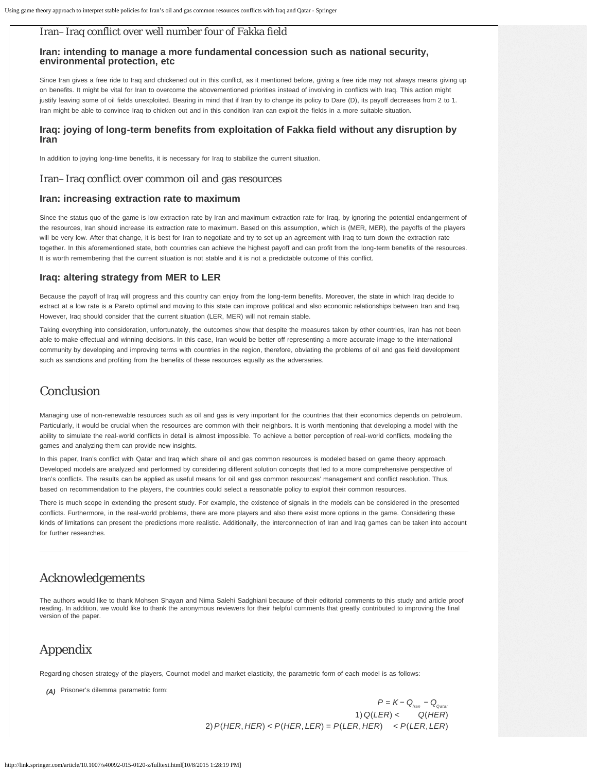## Iran–Iraq conflict over well number four of Fakka field

### **Iran: intending to manage a more fundamental concession such as national security, environmental protection, etc**

Since Iran gives a free ride to Iraq and chickened out in this conflict, as it mentioned before, giving a free ride may not always means giving up on benefits. It might be vital for Iran to overcome the abovementioned priorities instead of involving in conflicts with Iraq. This action might justify leaving some of oil fields unexploited. Bearing in mind that if Iran try to change its policy to Dare (D), its payoff decreases from 2 to 1. Iran might be able to convince Iraq to chicken out and in this condition Iran can exploit the fields in a more suitable situation.

### **Iraq: joying of long-term benefits from exploitation of Fakka field without any disruption by Iran**

In addition to joying long-time benefits, it is necessary for Iraq to stabilize the current situation.

## Iran–Iraq conflict over common oil and gas resources

### **Iran: increasing extraction rate to maximum**

Since the status quo of the game is low extraction rate by Iran and maximum extraction rate for Iraq, by ignoring the potential endangerment of the resources, Iran should increase its extraction rate to maximum. Based on this assumption, which is (MER, MER), the payoffs of the players will be very low. After that change, it is best for Iran to negotiate and try to set up an agreement with Iraq to turn down the extraction rate together. In this aforementioned state, both countries can achieve the highest payoff and can profit from the long-term benefits of the resources. It is worth remembering that the current situation is not stable and it is not a predictable outcome of this conflict.

### **Iraq: altering strategy from MER to LER**

Because the payoff of Iraq will progress and this country can enjoy from the long-term benefits. Moreover, the state in which Iraq decide to extract at a low rate is a Pareto optimal and moving to this state can improve political and also economic relationships between Iran and Iraq. However, Iraq should consider that the current situation (LER, MER) will not remain stable.

Taking everything into consideration, unfortunately, the outcomes show that despite the measures taken by other countries, Iran has not been able to make effectual and winning decisions. In this case, Iran would be better off representing a more accurate image to the international community by developing and improving terms with countries in the region, therefore, obviating the problems of oil and gas field development such as sanctions and profiting from the benefits of these resources equally as the adversaries.

## Conclusion

Managing use of non-renewable resources such as oil and gas is very important for the countries that their economics depends on petroleum. Particularly, it would be crucial when the resources are common with their neighbors. It is worth mentioning that developing a model with the ability to simulate the real-world conflicts in detail is almost impossible. To achieve a better perception of real-world conflicts, modeling the games and analyzing them can provide new insights.

In this paper, Iran's conflict with Qatar and Iraq which share oil and gas common resources is modeled based on game theory approach. Developed models are analyzed and performed by considering different solution concepts that led to a more comprehensive perspective of Iran's conflicts. The results can be applied as useful means for oil and gas common resources' management and conflict resolution. Thus, based on recommendation to the players, the countries could select a reasonable policy to exploit their common resources.

There is much scope in extending the present study. For example, the existence of signals in the models can be considered in the presented conflicts. Furthermore, in the real-world problems, there are more players and also there exist more options in the game. Considering these kinds of limitations can present the predictions more realistic. Additionally, the interconnection of Iran and Iraq games can be taken into account for further researches.

## Acknowledgements

The authors would like to thank Mohsen Shayan and Nima Salehi Sadghiani because of their editorial comments to this study and article proof reading. In addition, we would like to thank the anonymous reviewers for their helpful comments that greatly contributed to improving the final version of the paper.

# Appendix

Regarding chosen strategy of the players, Cournot model and market elasticity, the parametric form of each model is as follows:

*(A)* Prisoner's dilemma parametric form:

 $P = K - Q_{\text{tan}} - Q_{\text{other}}$ 1) *Q*(*LER*) < *Q*(*HER*) 2) *P*(*HER*, *HER*) < *P*(*HER*, *LER*) = *P*(*LER*, *HER*) < *P*(*LER*, *LER*)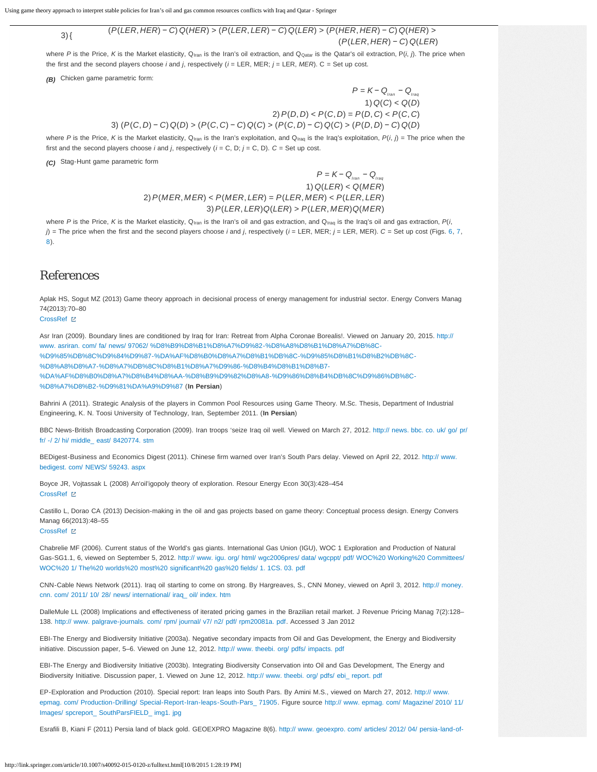## 3){ (*P*(*LER*, *HER*) <sup>−</sup> *<sup>C</sup>*) *<sup>Q</sup>*(*HER*) <sup>&</sup>gt; (*P*(*LER*, *LER*) <sup>−</sup> *<sup>C</sup>*) *<sup>Q</sup>*(*LER*) <sup>&</sup>gt; (*P*(*HER*, *HER*) <sup>−</sup> *<sup>C</sup>*) *<sup>Q</sup>*(*HER*) <sup>&</sup>gt; (*P*(*LER*, *HER*) − *C*) *Q*(*LER*)

where P is the Price, K is the Market elasticity, Q<sub>Iran</sub> is the Iran's oil extraction, and Q<sub>Qatar</sub> is the Qatar's oil extraction, P(*i*, *j*). The price when the first and the second players choose *i* and *j*, respectively (*i* = LER, MER; *j* = LER, *MER*). C = Set up cost.

*(B)* Chicken game parametric form:

$$
P = K - Q_{\text{max}} - Q_{\text{max}}
$$
  
\n1)  $Q(C) < Q(D)$   
\n2)  $P(D, D) < P(C, D) = P(D, C) < P(C, C)$   
\n3)  $(P(C, D) - C) Q(D) > (P(C, C) - C) Q(C) > (P(C, D) - C) Q(C) > (P(D, D) - C) Q(D)$ 

where P is the Price, K is the Market elasticity, Q<sub>Iran</sub> is the Iran's exploitation, and Q<sub>Iraq</sub> is the Iraq's exploitation,  $P(i, j)$  = The price when the first and the second players choose  $i$  and  $j$ , respectively  $(i = C, D; j = C, D)$ .  $C = Set$  up cost.

*(C)* Stag-Hunt game parametric form

 $P = K - Q_{\text{tran}} - Q_{\text{frag}}$ 1) *Q*(*LER*) < *Q*(*MER*) 2) *P*(*MER*, *MER*) < *P*(*MER*, *LER*) = *P*(*LER*, *MER*) < *P*(*LER*, *LER*) 3) *P*(*LER*, *LER*)*Q*(*LER*) > *P*(*LER*, *MER*)*Q*(*MER*)

where *P* is the Price, *K* is the Market elasticity, QIran is the Iran's oil and gas extraction, and QIraq is the Iraq's oil and gas extraction, *P*(*i*,  $\hat{j}$  = The price when the first and the second players choose *i* and  $\hat{j}$ , respectively ( $i$  = LER, MER;  $\hat{j}$  = LER, MER).  $C$  = Set up cost (Figs. [6](#page-0-0), [7,](#page-0-0) [8](#page-0-0)).

## References

<span id="page-9-3"></span>Aplak HS, Sogut MZ (2013) Game theory approach in decisional process of energy management for industrial sector. Energy Convers Manag 74(2013):70–80

[CrossRef](http://dx.doi.org/10.1016/j.enconman.2013.03.027) **⊠** 

<span id="page-9-11"></span>Asr Iran (2009). Boundary lines are conditioned by Iraq for Iran: Retreat from Alpha Coronae Borealis!. Viewed on January 20, 2015. [http://](http://www.asriran.com/fa/news/97062/%D8%B9%D8%B1%D8%A7%D9%82-%D8%A8%D8%B1%D8%A7%DB%8C-%D9%85%DB%8C%D9%84%D9%87-%DA%AF%D8%B0%D8%A7%D8%B1%DB%8C-%D9%85%D8%B1%D8%B2%DB%8C-%D8%A8%D8%A7-%D8%A7%DB%8C%D8%B1%D8%A7%D9%86-%D8%B4%D8%B1%D8%B7-%DA%AF%D8%B0%D8%A7%D8%B4%D8%AA-%D8%B9%D9%82%D8%A8-%D9%86%D8%B4%DB%8C%D9%86%DB%8C-%D8%A7%D8%B2-%D9%81%DA%A9%D9%87) [www. asriran. com/ fa/ news/ 97062/ %D8%B9%D8%B1%D8%A7%D9%82-%D8%A8%D8%B1%D8%A7%DB%8C-](http://www.asriran.com/fa/news/97062/%D8%B9%D8%B1%D8%A7%D9%82-%D8%A8%D8%B1%D8%A7%DB%8C-%D9%85%DB%8C%D9%84%D9%87-%DA%AF%D8%B0%D8%A7%D8%B1%DB%8C-%D9%85%D8%B1%D8%B2%DB%8C-%D8%A8%D8%A7-%D8%A7%DB%8C%D8%B1%D8%A7%D9%86-%D8%B4%D8%B1%D8%B7-%DA%AF%D8%B0%D8%A7%D8%B4%D8%AA-%D8%B9%D9%82%D8%A8-%D9%86%D8%B4%DB%8C%D9%86%DB%8C-%D8%A7%D8%B2-%D9%81%DA%A9%D9%87) [%D9%85%DB%8C%D9%84%D9%87-%DA%AF%D8%B0%D8%A7%D8%B1%DB%8C-%D9%85%D8%B1%D8%B2%DB%8C-](http://www.asriran.com/fa/news/97062/%D8%B9%D8%B1%D8%A7%D9%82-%D8%A8%D8%B1%D8%A7%DB%8C-%D9%85%DB%8C%D9%84%D9%87-%DA%AF%D8%B0%D8%A7%D8%B1%DB%8C-%D9%85%D8%B1%D8%B2%DB%8C-%D8%A8%D8%A7-%D8%A7%DB%8C%D8%B1%D8%A7%D9%86-%D8%B4%D8%B1%D8%B7-%DA%AF%D8%B0%D8%A7%D8%B4%D8%AA-%D8%B9%D9%82%D8%A8-%D9%86%D8%B4%DB%8C%D9%86%DB%8C-%D8%A7%D8%B2-%D9%81%DA%A9%D9%87) [%D8%A8%D8%A7-%D8%A7%DB%8C%D8%B1%D8%A7%D9%86-%D8%B4%D8%B1%D8%B7-](http://www.asriran.com/fa/news/97062/%D8%B9%D8%B1%D8%A7%D9%82-%D8%A8%D8%B1%D8%A7%DB%8C-%D9%85%DB%8C%D9%84%D9%87-%DA%AF%D8%B0%D8%A7%D8%B1%DB%8C-%D9%85%D8%B1%D8%B2%DB%8C-%D8%A8%D8%A7-%D8%A7%DB%8C%D8%B1%D8%A7%D9%86-%D8%B4%D8%B1%D8%B7-%DA%AF%D8%B0%D8%A7%D8%B4%D8%AA-%D8%B9%D9%82%D8%A8-%D9%86%D8%B4%DB%8C%D9%86%DB%8C-%D8%A7%D8%B2-%D9%81%DA%A9%D9%87) [%DA%AF%D8%B0%D8%A7%D8%B4%D8%AA-%D8%B9%D9%82%D8%A8-%D9%86%D8%B4%DB%8C%D9%86%DB%8C-](http://www.asriran.com/fa/news/97062/%D8%B9%D8%B1%D8%A7%D9%82-%D8%A8%D8%B1%D8%A7%DB%8C-%D9%85%DB%8C%D9%84%D9%87-%DA%AF%D8%B0%D8%A7%D8%B1%DB%8C-%D9%85%D8%B1%D8%B2%DB%8C-%D8%A8%D8%A7-%D8%A7%DB%8C%D8%B1%D8%A7%D9%86-%D8%B4%D8%B1%D8%B7-%DA%AF%D8%B0%D8%A7%D8%B4%D8%AA-%D8%B9%D9%82%D8%A8-%D9%86%D8%B4%DB%8C%D9%86%DB%8C-%D8%A7%D8%B2-%D9%81%DA%A9%D9%87) [%D8%A7%D8%B2-%D9%81%DA%A9%D9%87](http://www.asriran.com/fa/news/97062/%D8%B9%D8%B1%D8%A7%D9%82-%D8%A8%D8%B1%D8%A7%DB%8C-%D9%85%DB%8C%D9%84%D9%87-%DA%AF%D8%B0%D8%A7%D8%B1%DB%8C-%D9%85%D8%B1%D8%B2%DB%8C-%D8%A8%D8%A7-%D8%A7%DB%8C%D8%B1%D8%A7%D9%86-%D8%B4%D8%B1%D8%B7-%DA%AF%D8%B0%D8%A7%D8%B4%D8%AA-%D8%B9%D9%82%D8%A8-%D9%86%D8%B4%DB%8C%D9%86%DB%8C-%D8%A7%D8%B2-%D9%81%DA%A9%D9%87) (**In Persian**)

<span id="page-9-4"></span>Bahrini A (2011). Strategic Analysis of the players in Common Pool Resources using Game Theory. M.Sc. Thesis, Department of Industrial Engineering, K. N. Toosi University of Technology, Iran, September 2011. (**In Persian**)

<span id="page-9-10"></span>BBC News-British Broadcasting Corporation (2009). Iran troops 'seize Iraq oil well. Viewed on March 27, 2012. [http:// news. bbc. co. uk/ go/ pr/](http://news.bbc.co.uk/go/pr/fr/-/2/hi/middle_east/8420774.stm) [fr/ -/ 2/ hi/ middle\\_ east/ 8420774. stm](http://news.bbc.co.uk/go/pr/fr/-/2/hi/middle_east/8420774.stm)

<span id="page-9-7"></span>BEDigest-Business and Economics Digest (2011). Chinese firm warned over Iran's South Pars delay. Viewed on April 22, 2012. [http:// www.](http://www.bedigest.com/NEWS/59243.aspx) [bedigest. com/ NEWS/ 59243. aspx](http://www.bedigest.com/NEWS/59243.aspx)

<span id="page-9-1"></span>Boyce JR, Vojtassak L (2008) An'oil'igopoly theory of exploration. Resour Energy Econ 30(3):428–454 [CrossRef](http://dx.doi.org/10.1016/j.reseneeco.2007.10.001) E

<span id="page-9-2"></span>Castillo L, Dorao CA (2013) Decision-making in the oil and gas projects based on game theory: Conceptual process design. Energy Convers Manag 66(2013):48–55 [CrossRef](http://dx.doi.org/10.1016/j.enconman.2012.09.029) <sub>[2]</sub>

<span id="page-9-5"></span>Chabrelie MF (2006). Current status of the World's gas giants. International Gas Union (IGU), WOC 1 Exploration and Production of Natural Gas-SG1.1, 6, viewed on September 5, 2012. [http:// www. igu. org/ html/ wgc2006pres/ data/ wgcppt/ pdf/ WOC%20 Working%20 Committees/](http://www.igu.org/html/wgc2006pres/data/wgcppt/pdf/WOC%20Working%20Committees/WOC%201/The%20worlds%20most%20significant%20gas%20fields/1.1CS.03.pdf) [WOC%20 1/ The%20 worlds%20 most%20 significant%20 gas%20 fields/ 1. 1CS. 03. pdf](http://www.igu.org/html/wgc2006pres/data/wgcppt/pdf/WOC%20Working%20Committees/WOC%201/The%20worlds%20most%20significant%20gas%20fields/1.1CS.03.pdf)

<span id="page-9-12"></span>CNN-Cable News Network (2011). Iraq oil starting to come on strong. By Hargreaves, S., CNN Money, viewed on April 3, 2012. [http:// money.](http://money.cnn.com/2011/10/28/news/international/iraq_oil/index.htm) [cnn. com/ 2011/ 10/ 28/ news/ international/ iraq\\_ oil/ index. htm](http://money.cnn.com/2011/10/28/news/international/iraq_oil/index.htm)

<span id="page-9-0"></span>DalleMule LL (2008) Implications and effectiveness of iterated pricing games in the Brazilian retail market. J Revenue Pricing Manag 7(2):128– 138. [http:// www. palgrave-journals. com/ rpm/ journal/ v7/ n2/ pdf/ rpm20081a. pdf](http://www.palgrave-journals.com/rpm/journal/v7/n2/pdf/rpm20081a.pdf). Accessed 3 Jan 2012

<span id="page-9-8"></span>EBI-The Energy and Biodiversity Initiative (2003a). Negative secondary impacts from Oil and Gas Development, the Energy and Biodiversity initiative. Discussion paper, 5–6. Viewed on June 12, 2012. [http:// www. theebi. org/ pdfs/ impacts. pdf](http://www.theebi.org/pdfs/impacts.pdf)

<span id="page-9-9"></span>EBI-The Energy and Biodiversity Initiative (2003b). Integrating Biodiversity Conservation into Oil and Gas Development, The Energy and Biodiversity Initiative. Discussion paper, 1. Viewed on June 12, 2012. [http:// www. theebi. org/ pdfs/ ebi\\_ report. pdf](http://www.theebi.org/pdfs/ebi_report.pdf)

<span id="page-9-6"></span>EP-Exploration and Production (2010). Special report: Iran leaps into South Pars. By Amini M.S., viewed on March 27, 2012. [http:// www.](http://www.epmag.com/Production-Drilling/Special-Report-Iran-leaps-South-Pars_71905) [epmag. com/ Production-Drilling/ Special-Report-Iran-leaps-South-Pars\\_ 71905.](http://www.epmag.com/Production-Drilling/Special-Report-Iran-leaps-South-Pars_71905) Figure source [http:// www. epmag. com/ Magazine/ 2010/ 11/](http://www.epmag.com/Magazine/2010/11/Images/spcreport_SouthParsFIELD_img1.jpg) [Images/ spcreport\\_ SouthParsFIELD\\_ img1. jpg](http://www.epmag.com/Magazine/2010/11/Images/spcreport_SouthParsFIELD_img1.jpg)

Esrafili B, Kiani F (2011) Persia land of black gold. GEOEXPRO Magazine 8(6). [http:// www. geoexpro. com/ articles/ 2012/ 04/ persia-land-of-](http://www.geoexpro.com/articles/2012/04/persia-land-of-black-gold)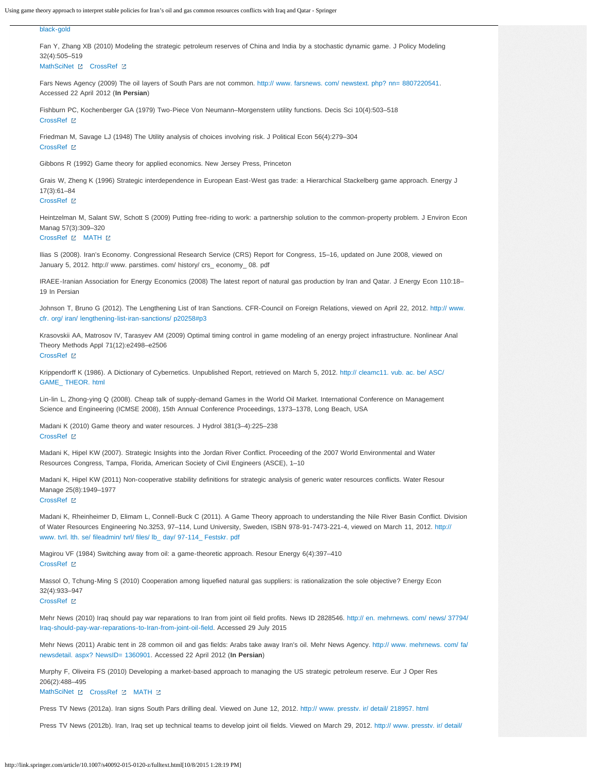#### <span id="page-10-12"></span>[black-gold](http://www.geoexpro.com/articles/2012/04/persia-land-of-black-gold)

<span id="page-10-10"></span>Fan Y, Zhang XB (2010) Modeling the strategic petroleum reserves of China and India by a stochastic dynamic game. J Policy Modeling 32(4):505–519

[MathSciNet](http://www.ams.org/mathscinet-getitem?mr=2760526) M [CrossRef](http://dx.doi.org/10.1016/j.jpolmod.2010.05.008) M

<span id="page-10-21"></span>Fars News Agency (2009) The oil layers of South Pars are not common. [http:// www. farsnews. com/ newstext. php? nn= 8807220541.](http://www.farsnews.com/newstext.php?nn=8807220541) Accessed 22 April 2012 (**In Persian**)

<span id="page-10-2"></span>Fishburn PC, Kochenberger GA (1979) Two-Piece Von Neumann–Morgenstern utility functions. Decis Sci 10(4):503–518 [CrossRef](http://dx.doi.org/10.1111/j.1540-5915.1979.tb00043.x)

<span id="page-10-3"></span>Friedman M, Savage LJ (1948) The Utility analysis of choices involving risk. J Political Econ 56(4):279–304 [CrossRef](http://dx.doi.org/10.1086/256692) [Z]

<span id="page-10-15"></span>Gibbons R (1992) Game theory for applied economics. New Jersey Press, Princeton

<span id="page-10-5"></span>Grais W, Zheng K (1996) Strategic interdependence in European East-West gas trade: a Hierarchical Stackelberg game approach. Energy J 17(3):61–84

[CrossRef](http://dx.doi.org/10.5547/ISSN0195-6574-EJ-Vol17-No3-5)<sup>E</sup>

<span id="page-10-6"></span>Heintzelman M, Salant SW, Schott S (2009) Putting free-riding to work: a partnership solution to the common-property problem. J Environ Econ Manag 57(3):309–320

[CrossRef](http://dx.doi.org/10.1016/j.jeem.2008.07.004) [MATH](http://www.emis.de/MATH-item?$1186.91161) M

<span id="page-10-0"></span>Ilias S (2008). Iran's Economy. Congressional Research Service (CRS) Report for Congress, 15–16, updated on June 2008, viewed on January 5, 2012. http:// www. parstimes. com/ history/ crs\_ economy\_ 08. pdf

<span id="page-10-20"></span>IRAEE-Iranian Association for Energy Economics (2008) The latest report of natural gas production by Iran and Qatar. J Energy Econ 110:18– 19 In Persian

<span id="page-10-14"></span>Johnson T, Bruno G (2012). The Lengthening List of Iran Sanctions. CFR-Council on Foreign Relations, viewed on April 22, 2012. [http:// www.](http://www.cfr.org/iran/lengthening-list-iran-sanctions/p20258#p3) [cfr. org/ iran/ lengthening-list-iran-sanctions/ p20258#p3](http://www.cfr.org/iran/lengthening-list-iran-sanctions/p20258#p3)

<span id="page-10-8"></span>Krasovskii AA, Matrosov IV, Tarasyev AM (2009) Optimal timing control in game modeling of an energy project infrastructure. Nonlinear Anal Theory Methods Appl 71(12):e2498–e2506

[CrossRef](http://dx.doi.org/10.1016/j.na.2009.05.062)

<span id="page-10-16"></span>Krippendorff K (1986). A Dictionary of Cybernetics. Unpublished Report, retrieved on March 5, 2012. [http:// cleamc11. vub. ac. be/ ASC/](http://cleamc11.vub.ac.be/ASC/GAME_THEOR.html) [GAME\\_ THEOR. html](http://cleamc11.vub.ac.be/ASC/GAME_THEOR.html)

<span id="page-10-7"></span>Lin-lin L, Zhong-ying Q (2008). Cheap talk of supply-demand Games in the World Oil Market. International Conference on Management Science and Engineering (ICMSE 2008), 15th Annual Conference Proceedings, 1373–1378, Long Beach, USA

<span id="page-10-1"></span>Madani K (2010) Game theory and water resources. J Hydrol 381(3–4):225–238 [CrossRef](http://dx.doi.org/10.1016/j.jhydrol.2009.11.045) <sub>[2]</sub>

<span id="page-10-19"></span>Madani K, Hipel KW (2007). Strategic Insights into the Jordan River Conflict. Proceeding of the 2007 World Environmental and Water Resources Congress, Tampa, Florida, American Society of Civil Engineers (ASCE), 1–10

<span id="page-10-17"></span>Madani K, Hipel KW (2011) Non-cooperative stability definitions for strategic analysis of generic water resources conflicts. Water Resour Manage 25(8):1949–1977

[CrossRef](http://dx.doi.org/10.1007/s11269-011-9783-4) **⊠** 

<span id="page-10-18"></span>Madani K, Rheinheimer D, Elimam L, Connell-Buck C (2011). A Game Theory approach to understanding the Nile River Basin Conflict. Division of Water Resources Engineering No.3253, 97–114, Lund University, Sweden, ISBN 978-91-7473-221-4, viewed on March 11, 2012. [http://](http://www.tvrl.lth.se/fileadmin/tvrl/files/lb_day/97-114_Festskr.pdf) [www. tvrl. lth. se/ fileadmin/ tvrl/ files/ lb\\_ day/ 97-114\\_ Festskr. pdf](http://www.tvrl.lth.se/fileadmin/tvrl/files/lb_day/97-114_Festskr.pdf)

<span id="page-10-9"></span>Magirou VF (1984) Switching away from oil: a game-theoretic approach. Resour Energy 6(4):397–410 [CrossRef](http://dx.doi.org/10.1016/0165-0572%2884%2990005-7) ⊠

<span id="page-10-4"></span>Massol O, Tchung-Ming S (2010) Cooperation among liquefied natural gas suppliers: is rationalization the sole objective? Energy Econ 32(4):933–947 [CrossRef](http://dx.doi.org/10.1016/j.eneco.2010.02.008) <sub>[2]</sub>

<span id="page-10-22"></span>Mehr News (2010) Iraq should pay war reparations to Iran from joint oil field profits. News ID 2828546. [http:// en. mehrnews. com/ news/ 37794/](http://en.mehrnews.com/news/37794/Iraq-should-pay-war-reparations-to-Iran-from-joint-oil-field) [Iraq-should-pay-war-reparations-to-Iran-from-joint-oil-field.](http://en.mehrnews.com/news/37794/Iraq-should-pay-war-reparations-to-Iran-from-joint-oil-field) Accessed 29 July 2015

<span id="page-10-13"></span>Mehr News (2011) Arabic tent in 28 common oil and gas fields: Arabs take away Iran's oil. Mehr News Agency. [http:// www. mehrnews. com/ fa/](http://www.mehrnews.com/fa/newsdetail.aspx?NewsID=1360901) [newsdetail. aspx? NewsID= 1360901.](http://www.mehrnews.com/fa/newsdetail.aspx?NewsID=1360901) Accessed 22 April 2012 (**In Persian**)

<span id="page-10-11"></span>Murphy F, Oliveira FS (2010) Developing a market-based approach to managing the US strategic petroleum reserve. Eur J Oper Res 206(2):488–495

[MathSciNet](http://www.ams.org/mathscinet-getitem?mr=2609425) M [CrossRef](http://dx.doi.org/10.1016/j.ejor.2010.02.030) M [MATH](http://www.emis.de/MATH-item?$1188.90160) M

Press TV News (2012a). Iran signs South Pars drilling deal. Viewed on June 12, 2012. [http:// www. presstv. ir/ detail/ 218957. html](http://www.presstv.ir/detail/218957.html)

Press TV News (2012b). Iran, Iraq set up technical teams to develop joint oil fields. Viewed on March 29, 2012. [http:// www. presstv. ir/ detail/](http://www.presstv.ir/detail/231687.html)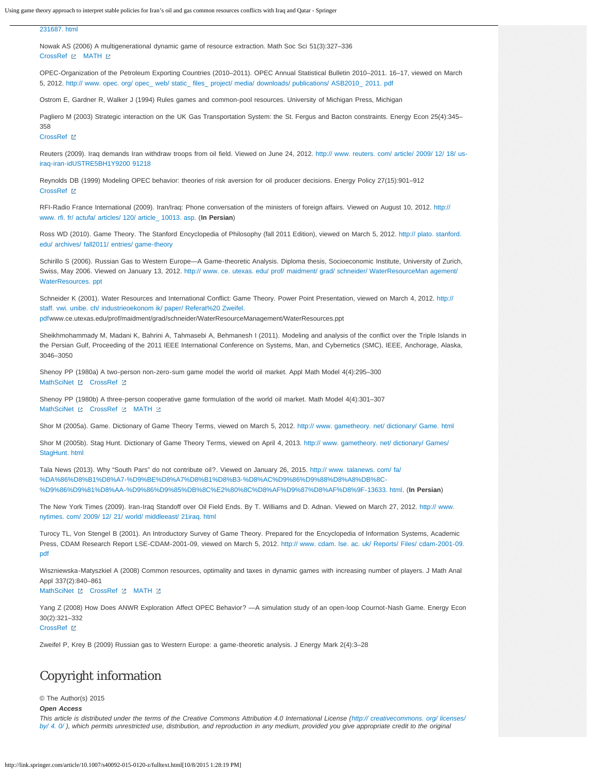<span id="page-11-20"></span>[231687. html](http://www.presstv.ir/detail/231687.html)

<span id="page-11-7"></span>Nowak AS (2006) A multigenerational dynamic game of resource extraction. Math Soc Sci 51(3):327–336 [CrossRef](http://dx.doi.org/10.1016/j.mathsocsci.2005.12.003) [MATH](http://www.emis.de/MATH-item?$1152.91367) M

OPEC-Organization of the Petroleum Exporting Countries (2010–2011). OPEC Annual Statistical Bulletin 2010–2011. 16–17, viewed on March 5, 2012. [http:// www. opec. org/ opec\\_ web/ static\\_ files\\_ project/ media/ downloads/ publications/ ASB2010\\_ 2011. pdf](http://www.opec.org/opec_web/static_files_project/media/downloads/publications/ASB2010_2011.pdf)

<span id="page-11-10"></span>Ostrom E, Gardner R, Walker J (1994) Rules games and common-pool resources. University of Michigan Press, Michigan

<span id="page-11-6"></span>Pagliero M (2003) Strategic interaction on the UK Gas Transportation System: the St. Fergus and Bacton constraints. Energy Econ 25(4):345– 358

[CrossRef](http://dx.doi.org/10.1016/S0140-9883%2802%2900109-3) <sub>[2]</sub>

<span id="page-11-17"></span>Reuters (2009). Iraq demands Iran withdraw troops from oil field. Viewed on June 24, 2012. [http:// www. reuters. com/ article/ 2009/ 12/ 18/ us](http://www.reuters.com/article/2009/12/18/us-iraq-iran-idUSTRE5BH1Y920091218)[iraq-iran-idUSTRE5BH1Y9200 91218](http://www.reuters.com/article/2009/12/18/us-iraq-iran-idUSTRE5BH1Y920091218)

<span id="page-11-3"></span>Reynolds DB (1999) Modeling OPEC behavior: theories of risk aversion for oil producer decisions. Energy Policy 27(15):901–912 [CrossRef](http://dx.doi.org/10.1016/S0301-4215%2899%2900076-2)<sup>12</sup>

<span id="page-11-18"></span>RFI-Radio France International (2009). Iran/Iraq: Phone conversation of the ministers of foreign affairs. Viewed on August 10, 2012. [http://](http://www.rfi.fr/actufa/articles/120/article_10013.asp) [www. rfi. fr/ actufa/ articles/ 120/ article\\_ 10013. asp.](http://www.rfi.fr/actufa/articles/120/article_10013.asp) (**In Persian**)

Ross WD (2010). Game Theory. The Stanford Encyclopedia of Philosophy (fall 2011 Edition), viewed on March 5, 2012. [http:// plato. stanford.](http://plato.stanford.edu/archives/fall2011/entries/game-theory) [edu/ archives/ fall2011/ entries/ game-theory](http://plato.stanford.edu/archives/fall2011/entries/game-theory)

<span id="page-11-4"></span>Schirillo S (2006). Russian Gas to Western Europe—A Game-theoretic Analysis. Diploma thesis, Socioeconomic Institute, University of Zurich, Swiss, May 2006. Viewed on January 13, 2012. [http:// www. ce. utexas. edu/ prof/ maidment/ grad/ schneider/ WaterResourceMan agement/](http://www.ce.utexas.edu/prof/maidment/grad/schneider/WaterResourceManagement/WaterResources.ppt) [WaterResources. ppt](http://www.ce.utexas.edu/prof/maidment/grad/schneider/WaterResourceManagement/WaterResources.ppt)

<span id="page-11-13"></span>Schneider K (2001). Water Resources and International Conflict: Game Theory. Power Point Presentation, viewed on March 4, 2012. [http://](http://staff.vwi.unibe.ch/industrieoekonomik/paper/Referat%20Zweifel.pdf) [staff. vwi. unibe. ch/ industrieoekonom ik/ paper/ Referat%20 Zweifel.](http://staff.vwi.unibe.ch/industrieoekonomik/paper/Referat%20Zweifel.pdf)

[pdfw](http://staff.vwi.unibe.ch/industrieoekonomik/paper/Referat%20Zweifel.pdf)ww.ce.utexas.edu/prof/maidment/grad/schneider/WaterResourceManagement/WaterResources.ppt

<span id="page-11-14"></span>Sheikhmohammady M, Madani K, Bahrini A, Tahmasebi A, Behmanesh I (2011). Modeling and analysis of the conflict over the Triple Islands in the Persian Gulf, Proceeding of the 2011 IEEE International Conference on Systems, Man, and Cybernetics (SMC), IEEE, Anchorage, Alaska, 3046–3050

<span id="page-11-1"></span>Shenoy PP (1980a) A two-person non-zero-sum game model the world oil market. Appl Math Model 4(4):295–300 [MathSciNet](http://www.ams.org/mathscinet-getitem?mr=582658) L<sup>2</sup> [CrossRef](http://dx.doi.org/10.1016/0307-904X%2880%2990198-5) L2

<span id="page-11-2"></span>Shenoy PP (1980b) A three-person cooperative game formulation of the world oil market. Math Model 4(4):301–307 [MathSciNet](http://www.ams.org/mathscinet-getitem?mr=582659) M [CrossRef](http://dx.doi.org/10.1016/0307-904X%2880%2990199-7) M [MATH](http://www.emis.de/MATH-item?$0439.90048) M

<span id="page-11-12"></span>Shor M (2005a). Game. Dictionary of Game Theory Terms, viewed on March 5, 2012. [http:// www. gametheory. net/ dictionary/ Game. html](http://www.gametheory.net/dictionary/Game.html)

<span id="page-11-19"></span>Shor M (2005b). Stag Hunt. Dictionary of Game Theory Terms, viewed on April 4, 2013. [http:// www. gametheory. net/ dictionary/ Games/](http://www.gametheory.net/dictionary/Games/StagHunt.html) [StagHunt. html](http://www.gametheory.net/dictionary/Games/StagHunt.html)

<span id="page-11-15"></span>Tala News (2013). Why "South Pars" do not contribute oil?. Viewed on January 26, 2015. [http:// www. talanews. com/ fa/](http://www.talanews.com/fa/%DA%86%D8%B1%D8%A7-%D9%BE%D8%A7%D8%B1%D8%B3-%D8%AC%D9%86%D9%88%D8%A8%DB%8C-%D9%86%D9%81%D8%AA-%D9%86%D9%85%DB%8C%E2%80%8C%D8%AF%D9%87%D8%AF%D8%9F-13633.html) [%DA%86%D8%B1%D8%A7-%D9%BE%D8%A7%D8%B1%D8%B3-%D8%AC%D9%86%D9%88%D8%A8%DB%8C-](http://www.talanews.com/fa/%DA%86%D8%B1%D8%A7-%D9%BE%D8%A7%D8%B1%D8%B3-%D8%AC%D9%86%D9%88%D8%A8%DB%8C-%D9%86%D9%81%D8%AA-%D9%86%D9%85%DB%8C%E2%80%8C%D8%AF%D9%87%D8%AF%D8%9F-13633.html) [%D9%86%D9%81%D8%AA-%D9%86%D9%85%DB%8C%E2%80%8C%D8%AF%D9%87%D8%AF%D8%9F-13633. html.](http://www.talanews.com/fa/%DA%86%D8%B1%D8%A7-%D9%BE%D8%A7%D8%B1%D8%B3-%D8%AC%D9%86%D9%88%D8%A8%DB%8C-%D9%86%D9%81%D8%AA-%D9%86%D9%85%DB%8C%E2%80%8C%D8%AF%D9%87%D8%AF%D8%9F-13633.html) (**In Persian**)

<span id="page-11-16"></span>The New York Times (2009). Iran-Iraq Standoff over Oil Field Ends. By T. Williams and D. Adnan. Viewed on March 27, 2012. [http:// www.](http://www.nytimes.com/2009/12/21/world/middleeast/21iraq.html) [nytimes. com/ 2009/ 12/ 21/ world/ middleeast/ 21iraq. html](http://www.nytimes.com/2009/12/21/world/middleeast/21iraq.html)

<span id="page-11-11"></span>Turocy TL, Von Stengel B (2001). An Introductory Survey of Game Theory. Prepared for the Encyclopedia of Information Systems, Academic Press, CDAM Research Report LSE-CDAM-2001-09, viewed on March 5, 2012. [http:// www. cdam. lse. ac. uk/ Reports/ Files/ cdam-2001-09.](http://www.cdam.lse.ac.uk/Reports/Files/cdam-2001-09.pdf) [pdf](http://www.cdam.lse.ac.uk/Reports/Files/cdam-2001-09.pdf)

<span id="page-11-8"></span>Wiszniewska-Matyszkiel A (2008) Common resources, optimality and taxes in dynamic games with increasing number of players. J Math Anal Appl 337(2):840–861

[MathSciNet](http://www.ams.org/mathscinet-getitem?mr=2386336) M [CrossRef](http://dx.doi.org/10.1016/j.jmaa.2007.03.033) M [MATH](http://www.emis.de/MATH-item?$1201.91150) M

<span id="page-11-9"></span>Yang Z (2008) How Does ANWR Exploration Affect OPEC Behavior? —A simulation study of an open-loop Cournot-Nash Game. Energy Econ 30(2):321–332

[CrossRef](http://dx.doi.org/10.1016/j.eneco.2006.12.002) [Z]

<span id="page-11-5"></span>Zweifel P, Krey B (2009) Russian gas to Western Europe: a game-theoretic analysis. J Energy Mark 2(4):3–28

## <span id="page-11-0"></span>Copyright information

© The Author(s) 2015

*Open Access*

*This article is distributed under the terms of the Creative Commons Attribution 4.0 International License ([http:// creativecommons. org/ licenses/](http://creativecommons.org/licenses/by/4.0/) [by/ 4. 0/ \)](http://creativecommons.org/licenses/by/4.0/), which permits unrestricted use, distribution, and reproduction in any medium, provided you give appropriate credit to the original*